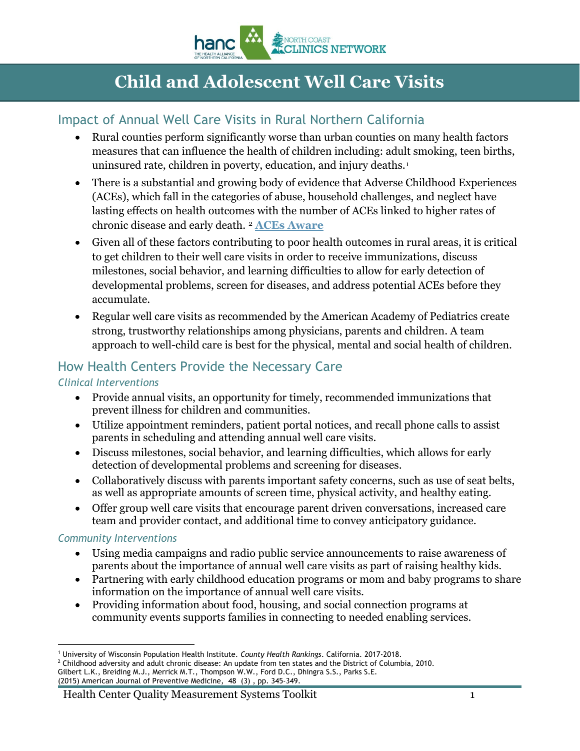

# **Child and Adolescent Well Care Visits**

### Impact of Annual Well Care Visits in Rural Northern California

- Rural counties perform significantly worse than urban counties on many health factors measures that can influence the health of children including: adult smoking, teen births, uninsured rate, children in poverty, education, and injury deaths.[1](#page-0-0)
- There is a substantial and growing body of evidence that Adverse Childhood Experiences (ACEs), which fall in the categories of abuse, household challenges, and neglect have lasting effects on health outcomes with the number of ACEs linked to higher rates of chronic disease and early death. [2](#page-0-1) **[ACEs Aware](https://www.acesaware.org/)**
- Given all of these factors contributing to poor health outcomes in rural areas, it is critical to get children to their well care visits in order to receive immunizations, discuss milestones, social behavior, and learning difficulties to allow for early detection of developmental problems, screen for diseases, and address potential ACEs before they accumulate.
- Regular well care visits as recommended by the American Academy of Pediatrics create strong, trustworthy relationships among physicians, parents and children. A team approach to well-child care is best for the physical, mental and social health of children.

### How Health Centers Provide the Necessary Care

#### *Clinical Interventions*

- Provide annual visits, an opportunity for timely, recommended immunizations that prevent illness for children and communities.
- Utilize appointment reminders, patient portal notices, and recall phone calls to assist parents in scheduling and attending annual well care visits.
- Discuss milestones, social behavior, and learning difficulties, which allows for early detection of developmental problems and screening for diseases.
- Collaboratively discuss with parents important safety concerns, such as use of seat belts, as well as appropriate amounts of screen time, physical activity, and healthy eating.
- Offer group well care visits that encourage parent driven conversations, increased care team and provider contact, and additional time to convey anticipatory guidance.

#### *Community Interventions*

- Using media campaigns and radio public service announcements to raise awareness of parents about the importance of annual well care visits as part of raising healthy kids.
- Partnering with early childhood education programs or mom and baby programs to share information on the importance of annual well care visits.
- Providing information about food, housing, and social connection programs at community events supports families in connecting to needed enabling services.

<span id="page-0-0"></span> $\overline{a}$ <sup>1</sup> University of Wisconsin Population Health Institute. *County Health Rankings*. California. 2017-2018.<br><sup>2</sup> Childhood adversity and adult chronic disease: An update from ten states and the District of Columbia, 2010.

<span id="page-0-1"></span>Gilbert L.K., Breiding M.J., Merrick M.T., Thompson W.W., Ford D.C., Dhingra S.S., Parks S.E. (2015) American Journal of Preventive Medicine, 48 (3) , pp. 345-349.

Health Center Quality Measurement Systems Toolkit 1